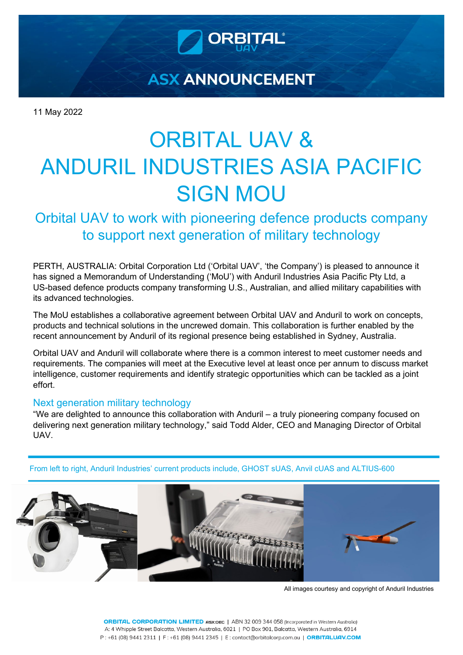

**ASX ANNOUNCEMENT** 

11 May 2022

# ORBITAL UAV & ANDURIL INDUSTRIES ASIA PACIFIC SIGN MOU

Orbital UAV to work with pioneering defence products company to support next generation of military technology

PERTH, AUSTRALIA: Orbital Corporation Ltd ('Orbital UAV', 'the Company') is pleased to announce it has signed a Memorandum of Understanding ('MoU') with Anduril Industries Asia Pacific Pty Ltd, a US-based defence products company transforming U.S., Australian, and allied military capabilities with its advanced technologies.

The MoU establishes a collaborative agreement between Orbital UAV and Anduril to work on concepts, products and technical solutions in the uncrewed domain. This collaboration is further enabled by the recent announcement by Anduril of its regional presence being established in Sydney, Australia.

Orbital UAV and Anduril will collaborate where there is a common interest to meet customer needs and requirements. The companies will meet at the Executive level at least once per annum to discuss market intelligence, customer requirements and identify strategic opportunities which can be tackled as a joint effort.

## Next generation military technology

"We are delighted to announce this collaboration with Anduril – a truly pioneering company focused on delivering next generation military technology," said Todd Alder, CEO and Managing Director of Orbital UAV.

From left to right, Anduril Industries' current products include, GHOST sUAS, Anvil cUAS and ALTIUS-600



All images courtesy and copyright of Anduril Industries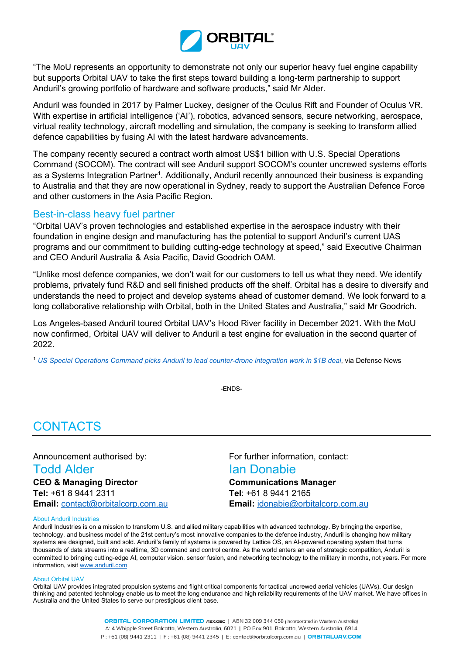

"The MoU represents an opportunity to demonstrate not only our superior heavy fuel engine capability but supports Orbital UAV to take the first steps toward building a long-term partnership to support Anduril's growing portfolio of hardware and software products," said Mr Alder.

Anduril was founded in 2017 by Palmer Luckey, designer of the Oculus Rift and Founder of Oculus VR. With expertise in artificial intelligence ('AI'), robotics, advanced sensors, secure networking, aerospace, virtual reality technology, aircraft modelling and simulation, the company is seeking to transform allied defence capabilities by fusing AI with the latest hardware advancements.

The company recently secured a contract worth almost US\$1 billion with U.S. Special Operations Command (SOCOM). The contract will see Anduril support SOCOM's counter uncrewed systems efforts as a Systems Integration Partner<sup>1</sup>. Additionally, Anduril recently announced their business is expanding to Australia and that they are now operational in Sydney, ready to support the Australian Defence Force and other customers in the Asia Pacific Region.

## Best-in-class heavy fuel partner

"Orbital UAV's proven technologies and established expertise in the aerospace industry with their foundation in engine design and manufacturing has the potential to support Anduril's current UAS programs and our commitment to building cutting-edge technology at speed," said Executive Chairman and CEO Anduril Australia & Asia Pacific, David Goodrich OAM.

"Unlike most defence companies, we don't wait for our customers to tell us what they need. We identify problems, privately fund R&D and sell finished products off the shelf. Orbital has a desire to diversify and understands the need to project and develop systems ahead of customer demand. We look forward to a long collaborative relationship with Orbital, both in the United States and Australia," said Mr Goodrich.

Los Angeles-based Anduril toured Orbital UAV's Hood River facility in December 2021. With the MoU now confirmed, Orbital UAV will deliver to Anduril a test engine for evaluation in the second quarter of 2022.

<sup>1</sup> *[US Special Operations Command picks Anduril to lead counter-drone integration work in \\$1B deal](https://www.defensenews.com/unmanned/2022/01/24/us-special-operations-command-picks-anduril-to-lead-counter-drone-integration-work-in-1b-deal/)*, via Defense News

-ENDS-

## **CONTACTS**

**CEO & Managing Director Communications Manager Tel:** +61 8 9441 2311 **Tel**: +61 8 9441 2165 **Email:** [contact@orbitalcorp.com.au](mailto:contact@orbitalcorp.com.au) **Email:** [idonabie@orbitalcorp.com.au](mailto:idonabie@orbitalcorp.com.au)

Announcement authorised by: For further information, contact:

## **Todd Alder Ian Donabie**

#### About Anduril Industries

Anduril Industries is on a mission to transform U.S. and allied military capabilities with advanced technology. By bringing the expertise, technology, and business model of the 21st century's most innovative companies to the defence industry, Anduril is changing how military systems are designed, built and sold. Anduril's family of systems is powered by Lattice OS, an AI-powered operating system that turns thousands of data streams into a realtime, 3D command and control centre. As the world enters an era of strategic competition, Anduril is committed to bringing cutting-edge AI, computer vision, sensor fusion, and networking technology to the military in months, not years. For more information, visi[t www.anduril.com](http://www.anduril.com/)

#### About Orbital UAV

Orbital UAV provides integrated propulsion systems and flight critical components for tactical uncrewed aerial vehicles (UAVs). Our design thinking and patented technology enable us to meet the long endurance and high reliability requirements of the UAV market. We have offices in Australia and the United States to serve our prestigious client base.